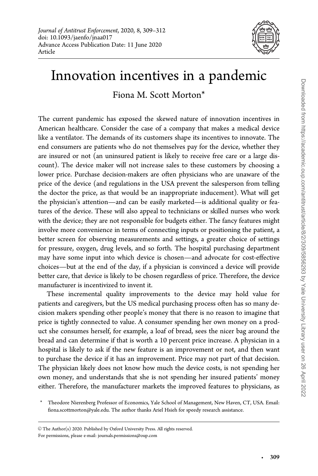

## Innovation incentives in a pandemic

Fiona M. Scott Morton\*

The current pandemic has exposed the skewed nature of innovation incentives in American healthcare. Consider the case of a company that makes a medical device like a ventilator. The demands of its customers shape its incentives to innovate. The end consumers are patients who do not themselves pay for the device, whether they are insured or not (an uninsured patient is likely to receive free care or a large discount). The device maker will not increase sales to these customers by choosing a lower price. Purchase decision-makers are often physicians who are unaware of the price of the device (and regulations in the USA prevent the salesperson from telling the doctor the price, as that would be an inappropriate inducement). What will get the physician's attention—and can be easily marketed—is additional quality or features of the device. These will also appeal to technicians or skilled nurses who work with the device; they are not responsible for budgets either. The fancy features might involve more convenience in terms of connecting inputs or positioning the patient, a better screen for observing measurements and settings, a greater choice of settings for pressure, oxygen, drug levels, and so forth. The hospital purchasing department may have some input into which device is chosen—and advocate for cost-effective choices—but at the end of the day, if a physician is convinced a device will provide better care, that device is likely to be chosen regardless of price. Therefore, the device manufacturer is incentivized to invent it.

These incremental quality improvements to the device may hold value for patients and caregivers, but the US medical purchasing process often has so many decision makers spending other people's money that there is no reason to imagine that price is tightly connected to value. A consumer spending her own money on a product she consumes herself, for example, a loaf of bread, sees the nicer bag around the bread and can determine if that is worth a 10 percent price increase. A physician in a hospital is likely to ask if the new feature is an improvement or not, and then want to purchase the device if it has an improvement. Price may not part of that decision. The physician likely does not know how much the device costs, is not spending her own money, and understands that she is not spending her insured patients' money either. Therefore, the manufacturer markets the improved features to physicians, as

\* Theodore Nierenberg Professor of Economics, Yale School of Management, New Haven, CT, USA. Email: fiona.scottmorton@yale.edu. The author thanks Ariel Hsieh for speedy research assistance.

For permissions, please e-mail: journals.permissions@oup.com

-

 $\odot$  The Author(s) 2020. Published by Oxford University Press. All rights reserved.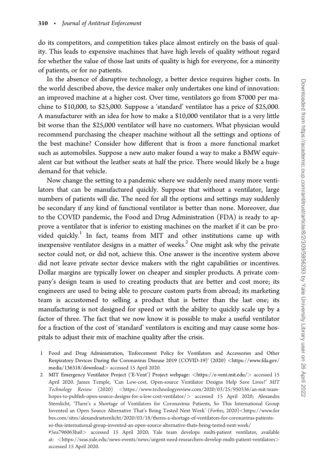do its competitors, and competition takes place almost entirely on the basis of quality. This leads to expensive machines that have high levels of quality without regard for whether the value of those last units of quality is high for everyone, for a minority of patients, or for no patients.

In the absence of disruptive technology, a better device requires higher costs. In the world described above, the device maker only undertakes one kind of innovation: an improved machine at a higher cost. Over time, ventilators go from \$7000 per machine to \$10,000, to \$25,000. Suppose a 'standard' ventilator has a price of \$25,000. A manufacturer with an idea for how to make a \$10,000 ventilator that is a very little bit worse than the \$25,000 ventilator will have no customers. What physician would recommend purchasing the cheaper machine without all the settings and options of the best machine? Consider how different that is from a more functional market such as automobiles. Suppose a new auto maker found a way to make a BMW equivalent car but without the leather seats at half the price. There would likely be a huge demand for that vehicle.

Now change the setting to a pandemic where we suddenly need many more ventilators that can be manufactured quickly. Suppose that without a ventilator, large numbers of patients will die. The need for all the options and settings may suddenly be secondary if any kind of functional ventilator is better than none. Moreover, due to the COVID pandemic, the Food and Drug Administration (FDA) is ready to approve a ventilator that is inferior to existing machines on the market if it can be provided quickly.<sup>1</sup> In fact, teams from MIT and other institutions came up with inexpensive ventilator designs in a matter of weeks.<sup>2</sup> One might ask why the private sector could not, or did not, achieve this. One answer is the incentive system above did not leave private sector device makers with the right capabilities or incentives. Dollar margins are typically lower on cheaper and simpler products. A private company's design team is used to creating products that are better and cost more; its engineers are used to being able to procure custom parts from abroad; its marketing team is accustomed to selling a product that is better than the last one; its manufacturing is not designed for speed or with the ability to quickly scale up by a factor of three. The fact that we now know it is possible to make a useful ventilator for a fraction of the cost of 'standard' ventilators is exciting and may cause some hospitals to adjust their mix of machine quality after the crisis.

1 Food and Drug Administration, 'Enforcement Policy for Ventilators and Accessories and Other Respiratory Devices During the Coronavirus Disease 2019 (COVID-19)' (2020) <[https://www.fda.gov/](https://www.fda.gov/media/136318/download&hx003E;) [media/136318/download](https://www.fda.gov/media/136318/download&hx003E;)> accessed 15 April 2020.

2 MIT Emergency Ventilator Project ('E-Vent') Project webpage: <[https://e-vent.mit.edu/](https://e-vent.mit.edu/&hx003E;)> accessed 15 April 2020. James Temple, 'Can Low-cost, Open-source Ventilator Designs Help Save Lives?' MIT Technology Review (2020) <[https://www.technologyreview.com/2020/03/25/950336/an-mit-team](https://www.technologyreview.com/2020/03/25/950336/an-mit-team-hopes-to-publish-open-source-designs-for-a-low-cost-ventilator/)[hopes-to-publish-open-source-designs-for-a-low-cost-ventilator/](https://www.technologyreview.com/2020/03/25/950336/an-mit-team-hopes-to-publish-open-source-designs-for-a-low-cost-ventilator/)> accessed 15 April 2020; Alexandra Sternlicht, 'There's a Shortage of Ventilators for Coronavirus Patients, So This International Group Invented an Open Source Alternative That's Being Tested Next Week' (Forbes, 2020)<[https://www.for](https://www.forbes.com/sites/alexandrasternlicht/2020/03/18/theres-a-shortage-of-ventilators-for-coronavirus-patients-so-this-international-group-invented-an-open-source-alternative-thats-being-tested-next-week/#5ea796063ba0&hx003E;) [bes.com/sites/alexandrasternlicht/2020/03/18/theres-a-shortage-of-ventilators-for-coronavirus-patients](https://www.forbes.com/sites/alexandrasternlicht/2020/03/18/theres-a-shortage-of-ventilators-for-coronavirus-patients-so-this-international-group-invented-an-open-source-alternative-thats-being-tested-next-week/#5ea796063ba0&hx003E;)[so-this-international-group-invented-an-open-source-alternative-thats-being-tested-next-week/](https://www.forbes.com/sites/alexandrasternlicht/2020/03/18/theres-a-shortage-of-ventilators-for-coronavirus-patients-so-this-international-group-invented-an-open-source-alternative-thats-being-tested-next-week/#5ea796063ba0&hx003E;)

[#5ea796063ba0](https://www.forbes.com/sites/alexandrasternlicht/2020/03/18/theres-a-shortage-of-ventilators-for-coronavirus-patients-so-this-international-group-invented-an-open-source-alternative-thats-being-tested-next-week/#5ea796063ba0&hx003E;)> accessed 15 April 2020; Yale team develops multi-patient ventilator, available at: <[https://seas.yale.edu/news-events/news/urgent-need-researchers-develop-multi-patient-ventilators](&hx003C;https://seas.yale.edu/news-events/news/urgent-need-researchers-develop-multi-patient-ventilators)> accessed 15 April 2020.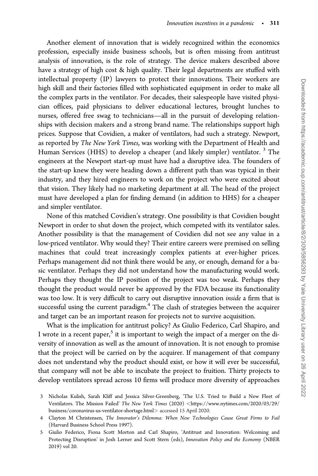Another element of innovation that is widely recognized within the economics profession, especially inside business schools, but is often missing from antitrust analysis of innovation, is the role of strategy. The device makers described above have a strategy of high cost & high quality. Their legal departments are stuffed with intellectual property (IP) lawyers to protect their innovations. Their workers are high skill and their factories filled with sophisticated equipment in order to make all the complex parts in the ventilator. For decades, their salespeople have visited physician offices, paid physicians to deliver educational lectures, brought lunches to nurses, offered free swag to technicians—all in the pursuit of developing relationships with decision makers and a strong brand name. The relationships support high prices. Suppose that Covidien, a maker of ventilators, had such a strategy. Newport, as reported by The New York Times, was working with the Department of Health and Human Services (HHS) to develop a cheaper (and likely simpler) ventilator.  $3$  The engineers at the Newport start-up must have had a disruptive idea. The founders of the start-up knew they were heading down a different path than was typical in their industry, and they hired engineers to work on the project who were excited about that vision. They likely had no marketing department at all. The head of the project must have developed a plan for finding demand (in addition to HHS) for a cheaper and simpler ventilator.

None of this matched Covidien's strategy. One possibility is that Covidien bought Newport in order to shut down the project, which competed with its ventilator sales. Another possibility is that the management of Covidien did not see any value in a low-priced ventilator. Why would they? Their entire careers were premised on selling machines that could treat increasingly complex patients at ever-higher prices. Perhaps management did not think there would be any, or enough, demand for a basic ventilator. Perhaps they did not understand how the manufacturing would work. Perhaps they thought the IP position of the project was too weak. Perhaps they thought the product would never be approved by the FDA because its functionality was too low. It is very difficult to carry out disruptive innovation inside a firm that is successful using the current paradigm.<sup>4</sup> The clash of strategies between the acquirer and target can be an important reason for projects not to survive acquisition.

What is the implication for antitrust policy? As Giulio Federico, Carl Shapiro, and I wrote in a recent paper, $<sup>5</sup>$  it is important to weigh the impact of a merger on the di-</sup> versity of innovation as well as the amount of innovation. It is not enough to promise that the project will be carried on by the acquirer. If management of that company does not understand why the product should exist, or how it will ever be successful, that company will not be able to incubate the project to fruition. Thirty projects to develop ventilators spread across 10 firms will produce more diversity of approaches

<sup>3</sup> Nicholas Kulish, Sarah Kliff and Jessica Silver-Greenberg, 'The U.S. Tried to Build a New Fleet of Ventilators. The Mission Failed' The New York Times (2020) <[https://www.nytimes.com/2020/03/29/](https://www.nytimes.com/2020/03/29/business/coronavirus-us-ventilator-shortage.html) [business/coronavirus-us-ventilator-shortage.html](https://www.nytimes.com/2020/03/29/business/coronavirus-us-ventilator-shortage.html)> accessed 15 April 2020.

<sup>4</sup> Clayton M Christensen, The Innovator's Dilemma: When New Technologies Cause Great Firms to Fail (Harvard Business School Press 1997).

<sup>5</sup> Giulio Federico, Fiona Scott Morton and Carl Shapiro, 'Antitrust and Innovation: Welcoming and Protecting Disruption' in Josh Lerner and Scott Stern (eds), Innovation Policy and the Economy (NBER 2019) vol 20.